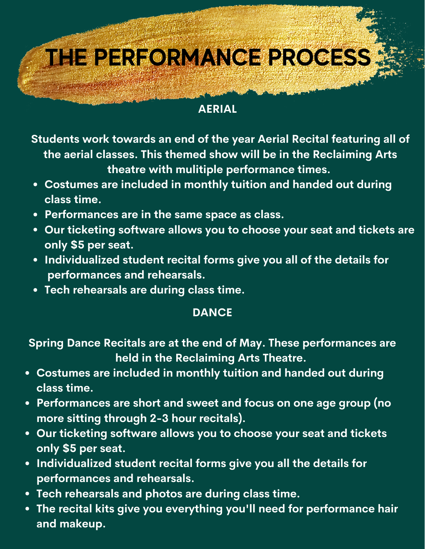# **THE PERFORMANCE PROCESS**

#### **AERIAL**

**Students work towards an end of the year Aerial Recital featuring all of the aerial classes. This themed show will be in the Reclaiming Arts theatre with mulitiple performance times.**

- **Costumes are included in monthly tuition and handed out during class time.**
- **Performances are in the same space as class.**
- **Our ticketing software allows you to choose your seat and tickets are only \$5 per seat.**
- **Individualized student recital forms give you all of the details for performances and rehearsals.**
- **Tech rehearsals are during class time.**

### **DANCE**

**Spring Dance Recitals are at the end of May. These performances are held in the Reclaiming Arts Theatre.**

- **Costumes are included in monthly tuition and handed out during class time.**
- **Performances are short and sweet and focus on one age group (no more sitting through 2-3 hour recitals).**
- **Our ticketing software allows you to choose your seat and tickets only \$5 per seat.**
- **Individualized student recital forms give you all the details for performances and rehearsals.**
- **Tech rehearsals and photos are during class time.**
- **The recital kits give you everything you'll need for performance hair and makeup.**